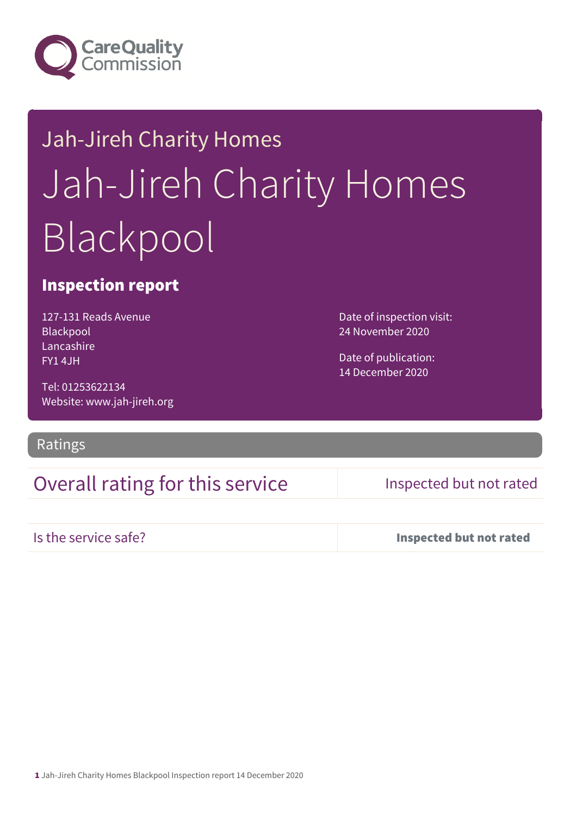

# Jah-Jireh Charity Homes Jah-Jireh Charity Homes Blackpool

## Inspection report

127-131 Reads Avenue Blackpool Lancashire FY1 4JH

24 November 2020

Date of inspection visit:

Date of publication: 14 December 2020

Tel: 01253622134 Website: www.jah-jireh.org

### Ratings

## Overall rating for this service Inspected but not rated

Is the service safe? Inspected but not rated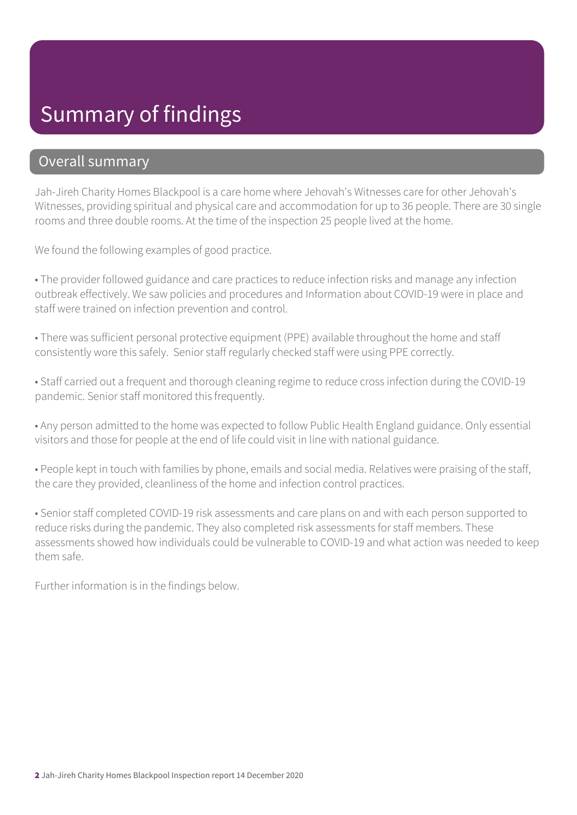## Summary of findings

## Overall summary

Jah-Jireh Charity Homes Blackpool is a care home where Jehovah's Witnesses care for other Jehovah's Witnesses, providing spiritual and physical care and accommodation for up to 36 people. There are 30 single rooms and three double rooms. At the time of the inspection 25 people lived at the home.

We found the following examples of good practice.

• The provider followed guidance and care practices to reduce infection risks and manage any infection outbreak effectively. We saw policies and procedures and Information about COVID-19 were in place and staff were trained on infection prevention and control.

• There was sufficient personal protective equipment (PPE) available throughout the home and staff consistently wore this safely. Senior staff regularly checked staff were using PPE correctly.

• Staff carried out a frequent and thorough cleaning regime to reduce cross infection during the COVID-19 pandemic. Senior staff monitored this frequently.

• Any person admitted to the home was expected to follow Public Health England guidance. Only essential visitors and those for people at the end of life could visit in line with national guidance.

• People kept in touch with families by phone, emails and social media. Relatives were praising of the staff, the care they provided, cleanliness of the home and infection control practices.

• Senior staff completed COVID-19 risk assessments and care plans on and with each person supported to reduce risks during the pandemic. They also completed risk assessments for staff members. These assessments showed how individuals could be vulnerable to COVID-19 and what action was needed to keep them safe.

Further information is in the findings below.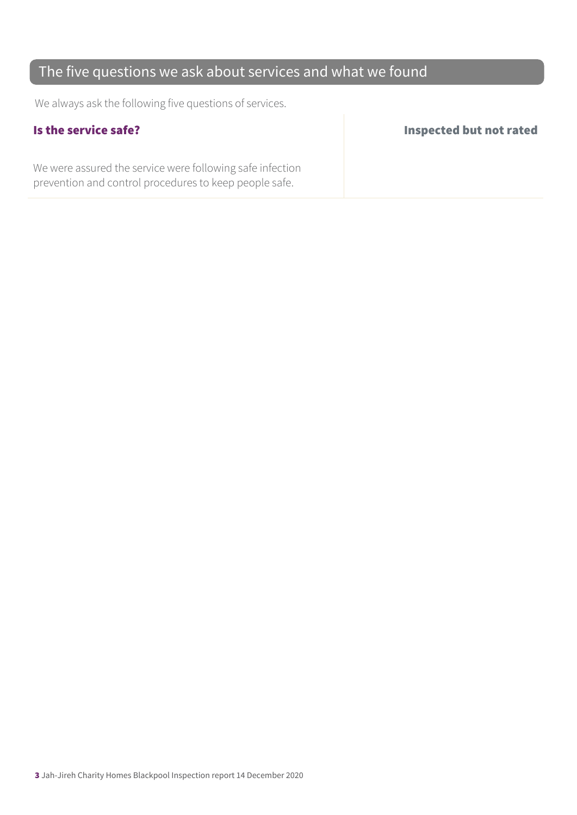## The five questions we ask about services and what we found

We always ask the following five questions of services.

We were assured the service were following safe infection prevention and control procedures to keep people safe.

### Is the service safe? Inspected but not rated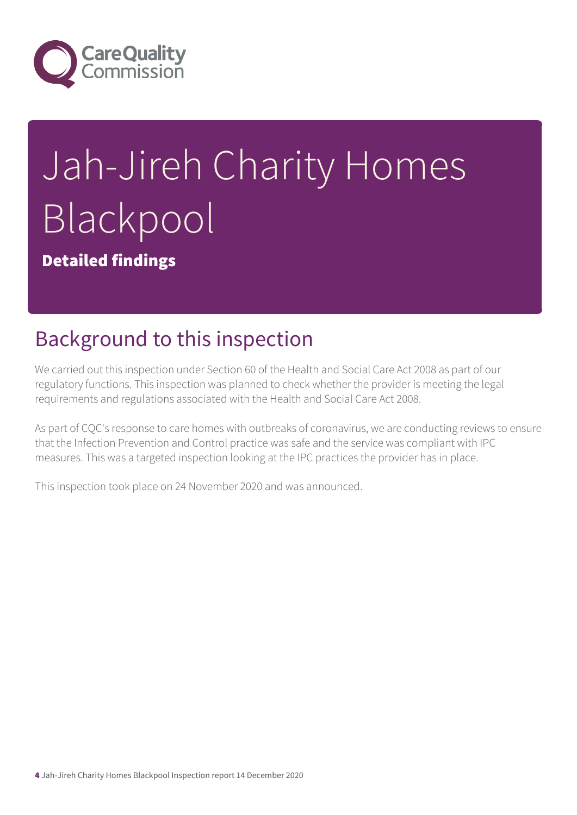

# Jah-Jireh Charity Homes Blackpool

Detailed findings

# Background to this inspection

We carried out this inspection under Section 60 of the Health and Social Care Act 2008 as part of our regulatory functions. This inspection was planned to check whether the provider is meeting the legal requirements and regulations associated with the Health and Social Care Act 2008.

As part of CQC's response to care homes with outbreaks of coronavirus, we are conducting reviews to ensure that the Infection Prevention and Control practice was safe and the service was compliant with IPC measures. This was a targeted inspection looking at the IPC practices the provider has in place.

This inspection took place on 24 November 2020 and was announced.